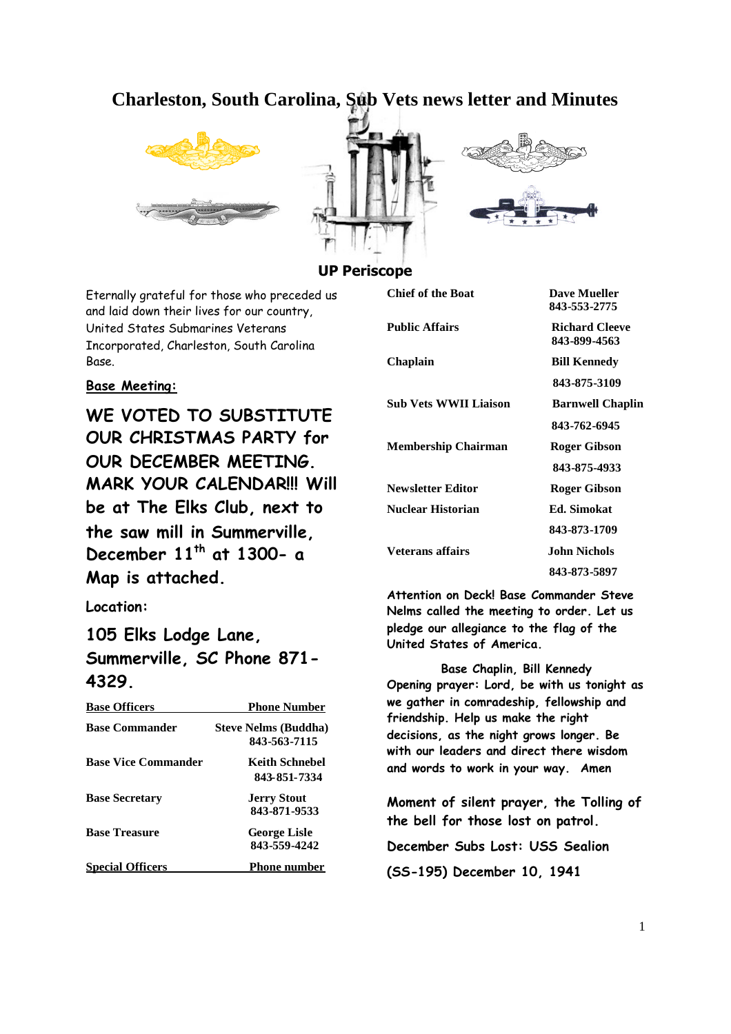# **Charleston, South Carolina, Sub Vets news letter and Minutes**







## **UP Periscope**

Eternally grateful for those who preceded us and laid down their lives for our country, United States Submarines Veterans Incorporated, Charleston, South Carolina Base.

## **Base Meeting:**

**WE VOTED TO SUBSTITUTE OUR CHRISTMAS PARTY for OUR DECEMBER MEETING. MARK YOUR CALENDAR!!! Will be at The Elks Club, next to the saw mill in Summerville, December 11th at 1300- a Map is attached.**

**Location:**

# **105 Elks Lodge Lane, Summerville, SC Phone 871- 4329.**

| <b>Base Officers</b>       | <b>Phone Number</b>                         |
|----------------------------|---------------------------------------------|
| <b>Base Commander</b>      | <b>Steve Nelms (Buddha)</b><br>843-563-7115 |
| <b>Base Vice Commander</b> | Keith Schnebel<br>843-851-7334              |
| <b>Base Secretary</b>      | <b>Jerry Stout</b><br>843-871-9533          |
| <b>Base Treasure</b>       | <b>George Lisle</b><br>843-559-4242         |
| <b>Special Officers</b>    | <b>Phone number</b>                         |

| <b>Chief of the Boat</b>     | <b>Dave Mueller</b>     |
|------------------------------|-------------------------|
|                              | 843-553-2775            |
| <b>Public Affairs</b>        | <b>Richard Cleeve</b>   |
|                              | 843-899-4563            |
| Chaplain                     | <b>Bill Kennedy</b>     |
|                              | 843-875-3109            |
| <b>Sub Vets WWII Liaison</b> | <b>Barnwell Chaplin</b> |
|                              | 843-762-6945            |
| <b>Membership Chairman</b>   | Roger Gibson            |
|                              | 843-875-4933            |
| <b>Newsletter Editor</b>     | <b>Roger Gibson</b>     |
| <b>Nuclear Historian</b>     | <b>Ed.</b> Simokat      |
|                              | 843-873-1709            |
| Veterans affairs             | John Nichols            |
|                              | 843-873-5897            |

**Attention on Deck! Base Commander Steve Nelms called the meeting to order. Let us pledge our allegiance to the flag of the United States of America.**

**Base Chaplin, Bill Kennedy Opening prayer: Lord, be with us tonight as we gather in comradeship, fellowship and friendship. Help us make the right decisions, as the night grows longer. Be with our leaders and direct there wisdom and words to work in your way. Amen**

**Moment of silent prayer, the Tolling of the bell for those lost on patrol.**

**December Subs Lost: USS Sealion**

**(SS-195) December 10, 1941**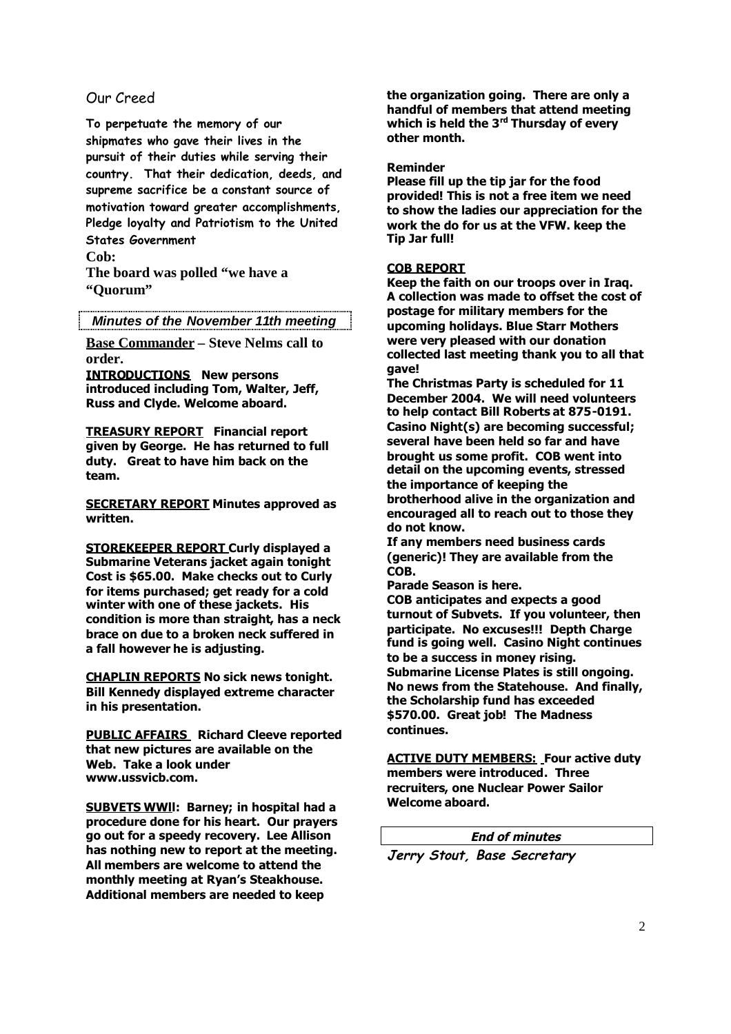## Our Creed

**To perpetuate the memory of our shipmates who gave their lives in the pursuit of their duties while serving their country. That their dedication, deeds, and supreme sacrifice be a constant source of motivation toward greater accomplishments, Pledge loyalty and Patriotism to the United States Government**

**Cob:**

**The board was polled "we have a "Quorum"**

*Minutes of the November 11th meeting*

**Base Commander – Steve Nelms call to order.**

**INTRODUCTIONS New persons introduced including Tom, Walter, Jeff, Russ and Clyde. Welcome aboard.**

**TREASURY REPORT Financial report given by George. He has returned to full duty. Great to have him back on the team.**

**SECRETARY REPORT Minutes approved as written.**

**STOREKEEPER REPORT Curly displayed a Submarine Veterans jacket again tonight Cost is \$65.00. Make checks out to Curly for items purchased; get ready for a cold winter with one of these jackets. His condition is more than straight, has a neck brace on due to a broken neck suffered in a fall however he is adjusting.**

**CHAPLIN REPORTS No sick news tonight. Bill Kennedy displayed extreme character in his presentation.**

**PUBLIC AFFAIRS Richard Cleeve reported that new pictures are available on the Web. Take a look under www.ussvicb.com.**

**SUBVETS WWll: Barney; in hospital had a procedure done for his heart. Our prayers go out for a speedy recovery. Lee Allison has nothing new to report at the meeting. All members are welcome to attend the monthly meeting at Ryan's Steakhouse. Additional members are needed to keep**

**the organization going. There are only a handful of members that attend meeting which is held the 3rd Thursday of every other month.**

**Reminder**

**Please fill up the tip jar for the food provided! This is not a free item we need to show the ladies our appreciation for the work the do for us at the VFW. keep the Tip Jar full!**

#### **COB REPORT**

**Keep the faith on our troops over in Iraq. A collection was made to offset the cost of postage for military members for the upcoming holidays. Blue Starr Mothers were very pleased with our donation collected last meeting thank you to all that gave!**

**The Christmas Party is scheduled for 11 December 2004. We will need volunteers to help contact Bill Roberts at 875-0191. Casino Night(s) are becoming successful; several have been held so far and have brought us some profit. COB went into detail on the upcoming events, stressed the importance of keeping the brotherhood alive in the organization and**

**encouraged all to reach out to those they do not know.**

**If any members need business cards (generic)! They are available from the COB.**

**Parade Season is here.**

**COB anticipates and expects a good turnout of Subvets. If you volunteer, then participate. No excuses!!! Depth Charge fund is going well. Casino Night continues to be a success in money rising. Submarine License Plates is still ongoing. No news from the Statehouse. And finally, the Scholarship fund has exceeded \$570.00. Great job! The Madness continues.**

**ACTIVE DUTY MEMBERS: Four active duty members were introduced. Three recruiters, one Nuclear Power Sailor Welcome aboard.**

**End of minutes**

**Jerry Stout, Base Secretary**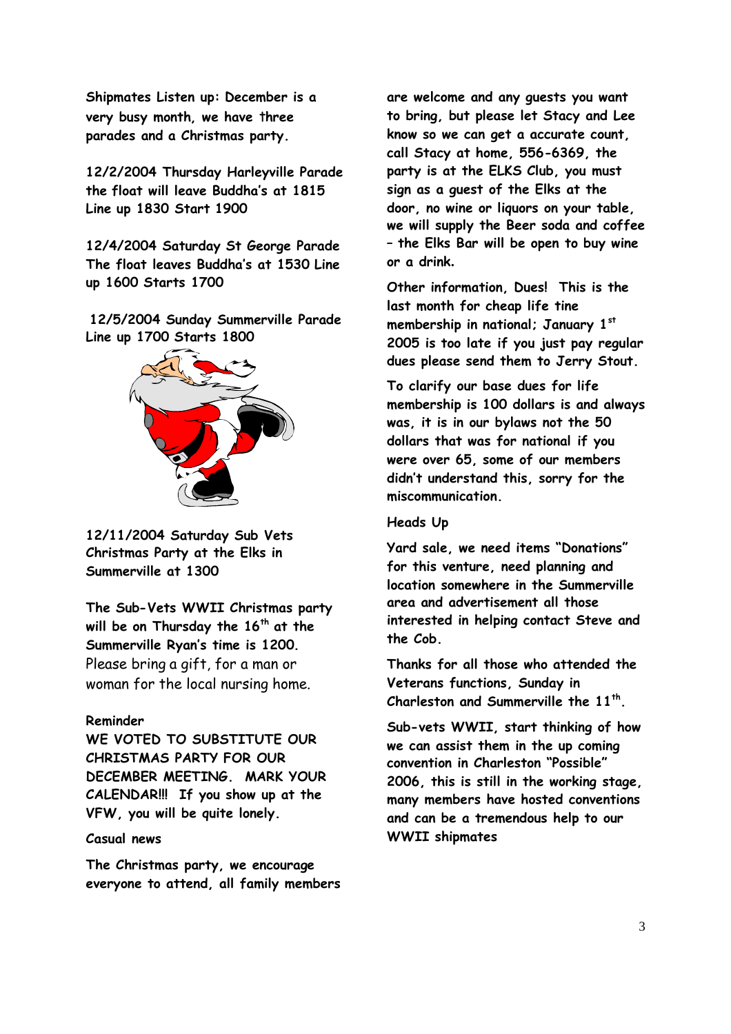**Shipmates Listen up: December is a very busy month, we have** t**hree parades and a Christmas party.**

**12/2/2004 Thursday Harleyville Parade the float will leave Buddha's at 1815 Line up 1830 Start 1900**

**12/4/2004 Saturday St George Parade The float leaves Buddha's at 1530 Line up 1600 Starts 1700**

**12/5/2004 Sunday Summerville Parade Line up 1700 Starts 1800**



**12/11/2004 Saturday Sub Vets Christmas Party at the Elks in Summerville at 1300**

**The Sub-Vets WWII Christmas party will be on Thursday the 16 th at the Summerville Ryan's time is 1200.** Please bring a gift, for a man or woman for the local nursing home.

### **Reminder**

**WE VOTED TO SUBSTITUTE OUR CHRISTMAS PARTY FOR OUR DECEMBER MEETING. MARK YOUR CALENDAR!!! If you show up at the VFW, you will be quite lonely.**

## **Casual news**

**The Christmas party, we encourage everyone to attend, all family members** **are welcome and any guests you want to bring, but please let Stacy and Lee know so we can get a accurate count, call Stacy at home, 556-6369, the party is at the ELKS Club, you must sign as a guest of the Elks at the door, no wine or liquors on your table, we will supply the Beer soda and coffee – the Elks Bar will be open to buy wine or a drink.**

**Other information, Dues! This is the last month for cheap life tine membership in national; January 1st 2005 is too late if you just pay regular dues please send them to Jerry Stout.**

**To clarify our base dues for life membership is 100 dollars is and always was, it is in our bylaws not the 50 dollars that was for national if you were over 65, some of our members didn't understand this, sorry for the miscommunication.**

#### **Heads Up**

**Yard sale, we need items "Donations" for this venture, need planning and location somewhere in the Summerville area and advertisement all those interested in helping contact Steve and the Cob.**

**Thanks for all those who attended the Veterans functions, Sunday in Charleston and Summerville the 11th .**

**Sub-vets WWII, start thinking of how we can assist them in the up coming convention in Charleston "Possible" 2006, this is still in the working stage, many members have hosted conventions and can be a tremendous help to our WWII shipmates**